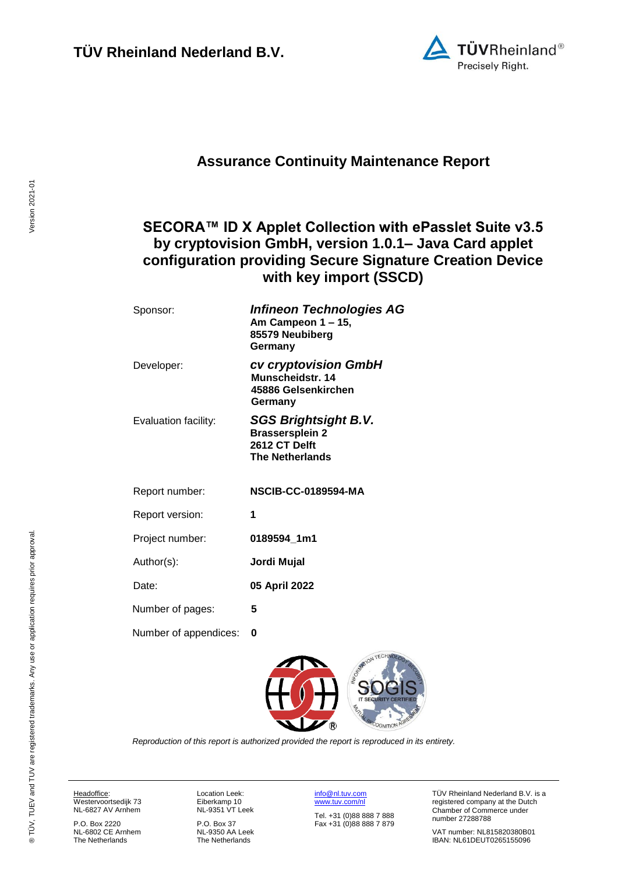

## **Assurance Continuity Maintenance Report**

## <span id="page-0-2"></span>**SECORA™ ID X Applet Collection with ePasslet Suite v3.5 by cryptovision GmbH, version 1.0.1– Java Card applet configuration providing Secure Signature Creation Device with key import (SSCD)**

<span id="page-0-3"></span>

| Sponsor:              | <b>Infineon Technologies AG</b><br>Am Campeon 1 - 15,<br>85579 Neubiberg<br>Germany              |
|-----------------------|--------------------------------------------------------------------------------------------------|
| Developer:            | cv cryptovision GmbH<br>Munscheidstr. 14<br>45886 Gelsenkirchen<br>Germany                       |
| Evaluation facility:  | <b>SGS Brightsight B.V.</b><br><b>Brassersplein 2</b><br>2612 CT Delft<br><b>The Netherlands</b> |
| Report number:        | <b>NSCIB-CC-0189594-MA</b>                                                                       |
| Report version:       | 1                                                                                                |
| Project number:       | 0189594_1m1                                                                                      |
| Author(s):            | Jordi Mujal                                                                                      |
| Date:                 | 05 April 2022                                                                                    |
| Number of pages:      | 5                                                                                                |
| Number of appendices: | 0                                                                                                |

<span id="page-0-1"></span><span id="page-0-0"></span>

*Reproduction of this report is authorized provided the report is reproduced in its entirety.*

Headoffice: Westervoortsedijk 73

NL-6827 AV Arnhem P.O. Box 2220

NL-6802 CE Arnhem The Netherlands

Location Leek: Eiberkamp 10 NL-9351 VT Leek

P.O. Box 37 NL-9350 AA Leek The Netherlands

[info@nl.tuv.com](mailto:info@nl.tuv.com) [www.tuv.com/nl](http://www.tuv.com/nl) Tel. +31 (0)88 888 7 888 Fax +31 (0)88 888 7 879 TÜV Rheinland Nederland B.V. is a registered company at the Dutch Chamber of Commerce under number 27288788

VAT number: NL815820380B01 IBAN: NL61DEUT0265155096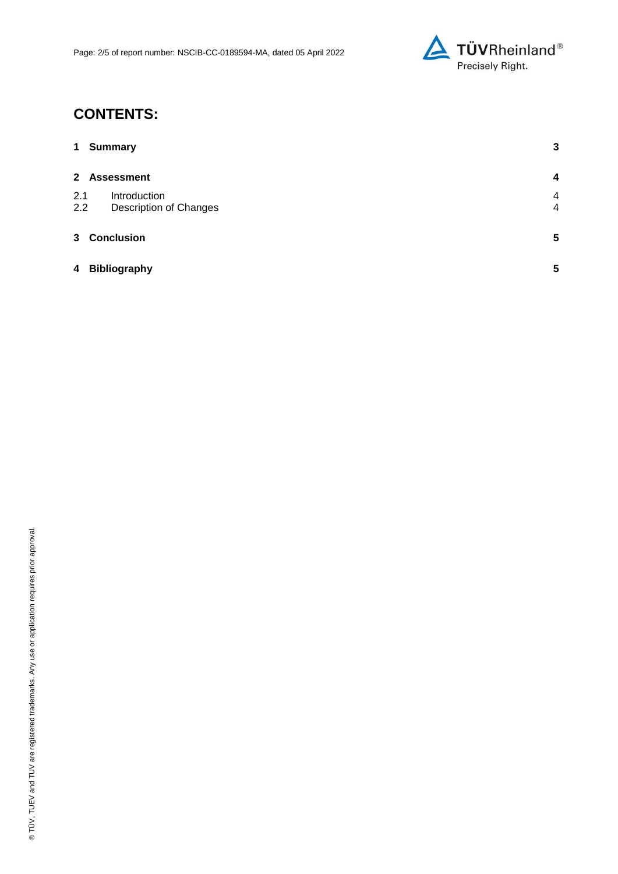

# **CONTENTS:**

| $\mathbf 1$    | <b>Summary</b>                                | $\mathbf{3}$                     |
|----------------|-----------------------------------------------|----------------------------------|
| $\mathbf{2}$   | <b>Assessment</b>                             | 4                                |
| 2.1<br>2.2     | Introduction<br><b>Description of Changes</b> | $\overline{4}$<br>$\overline{4}$ |
| 3 <sup>1</sup> | <b>Conclusion</b>                             | $5\phantom{.0}$                  |
| 4              | <b>Bibliography</b>                           | 5                                |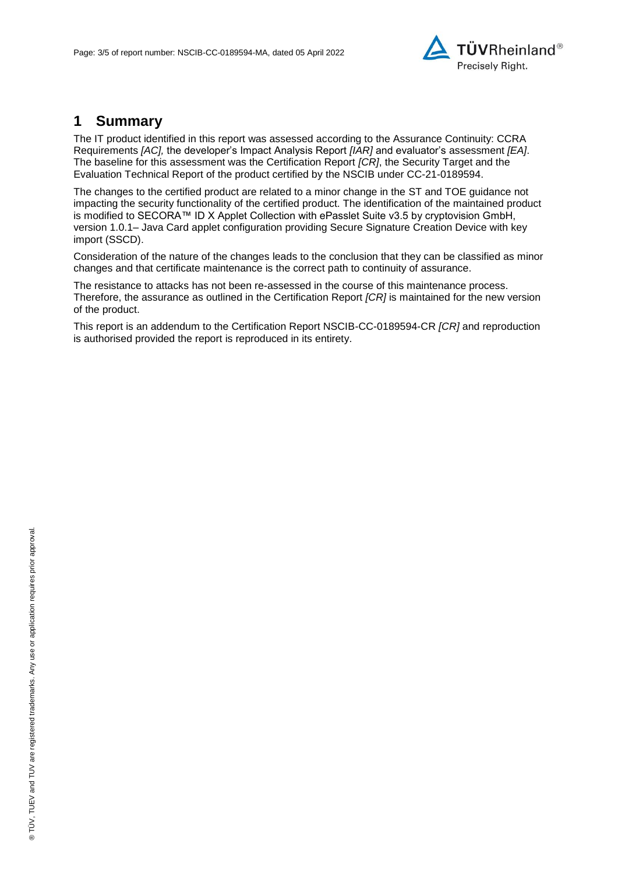

### **1 Summary**

The IT product identified in this report was assessed according to the Assurance Continuity: CCRA Requirements *[AC],* the developer's Impact Analysis Report *[IAR]* and evaluator's assessment *[EA]*. The baseline for this assessment was the Certification Report *[CR]*, the Security Target and the Evaluation Technical Report of the product certified by the NSCIB under CC-21[-0189594.](#page-0-0)

The changes to the certified product are related to a minor change in the ST and TOE guidance not impacting the security functionality of the certified product. The identification of the maintained product is modified to [SECORA™ ID X Applet Collection with ePasslet Suite v3.5 by cryptovision GmbH,](#page-0-2)  version 1.0.1– [Java Card applet configuration providing Secure Signature Creation Device with key](#page-0-2)  [import \(SSCD\).](#page-0-2)

Consideration of the nature of the changes leads to the conclusion that they can be classified as minor changes and that certificate maintenance is the correct path to continuity of assurance.

The resistance to attacks has not been re-assessed in the course of this maintenance process. Therefore, the assurance as outlined in the Certification Report *[CR]* is maintained for the new version of the product.

This report is an addendum to the Certification Report NSCIB-CC[-0189594-](#page-0-0)CR *[CR]* and reproduction is authorised provided the report is reproduced in its entirety.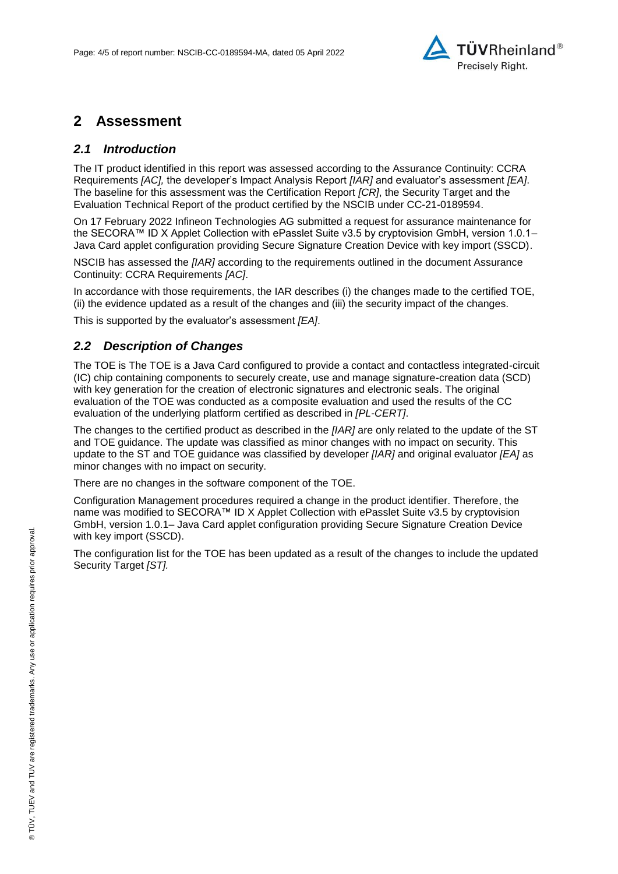

### **2 Assessment**

#### *2.1 Introduction*

The IT product identified in this report was assessed according to the Assurance Continuity: CCRA Requirements *[AC],* the developer's Impact Analysis Report *[IAR]* and evaluator's assessment *[EA]*. The baseline for this assessment was the Certification Report *[CR]*, the Security Target and the Evaluation Technical Report of the product certified by the NSCIB under CC-21[-0189594.](#page-0-0)

On 17 February 2022 [Infineon Technologies AG](#page-0-3) submitted a request for assurance maintenance for the [SECORA™ ID X Applet Collection with ePasslet Suite v3.5 by cryptovision GmbH, version 1.0.1–](#page-0-2) [Java Card applet configuration providing Secure Signature Creation Device with key import \(SSCD\).](#page-0-2)

NSCIB has assessed the *[IAR]* according to the requirements outlined in the document Assurance Continuity: CCRA Requirements *[AC]*.

In accordance with those requirements, the IAR describes (i) the changes made to the certified TOE, (ii) the evidence updated as a result of the changes and (iii) the security impact of the changes.

This is supported by the evaluator's assessment *[EA]*.

#### *2.2 Description of Changes*

The TOE is The TOE is a Java Card configured to provide a contact and contactless integrated-circuit (IC) chip containing components to securely create, use and manage signature-creation data (SCD) with key generation for the creation of electronic signatures and electronic seals. The original evaluation of the TOE was conducted as a composite evaluation and used the results of the CC evaluation of the underlying platform certified as described in *[PL-CERT]*.

The changes to the certified product as described in the *[IAR]* are only related to the update of the ST and TOE guidance. The update was classified as minor changes with no impact on security. This update to the ST and TOE guidance was classified by developer *[IAR]* and original evaluator *[EA]* as minor changes with no impact on security.

There are no changes in the software component of the TOE.

Configuration Management procedures required a change in the product identifier. Therefore, the name was modified to [SECORA™ ID X Applet Collection with ePasslet Suite v3.5 by cryptovision](#page-0-2)  GmbH, version 1.0.1– [Java Card applet configuration providing Secure Signature Creation Device](#page-0-2)  [with key import \(SSCD\).](#page-0-2)

The configuration list for the TOE has been updated as a result of the changes to include the updated Security Target *[ST].*